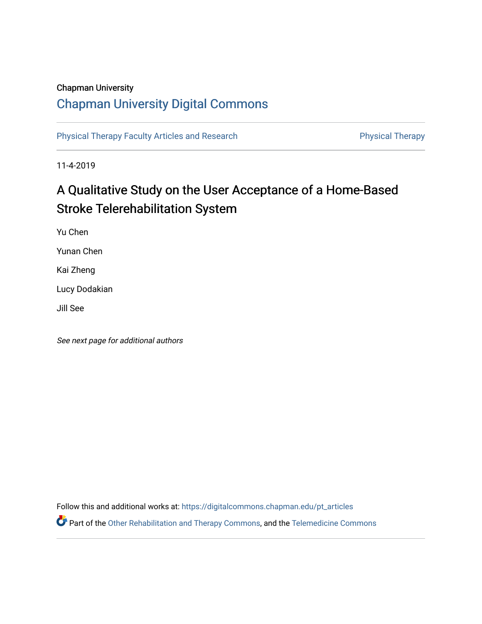## Chapman University

## [Chapman University Digital Commons](https://digitalcommons.chapman.edu/)

[Physical Therapy Faculty Articles and Research](https://digitalcommons.chapman.edu/pt_articles) **Physical Therapy** Physical Therapy

11-4-2019

# A Qualitative Study on the User Acceptance of a Home-Based Stroke Telerehabilitation System

Yu Chen

Yunan Chen

Kai Zheng

Lucy Dodakian

Jill See

See next page for additional authors

Follow this and additional works at: [https://digitalcommons.chapman.edu/pt\\_articles](https://digitalcommons.chapman.edu/pt_articles?utm_source=digitalcommons.chapman.edu%2Fpt_articles%2F119&utm_medium=PDF&utm_campaign=PDFCoverPages) 

Part of the [Other Rehabilitation and Therapy Commons,](http://network.bepress.com/hgg/discipline/758?utm_source=digitalcommons.chapman.edu%2Fpt_articles%2F119&utm_medium=PDF&utm_campaign=PDFCoverPages) and the Telemedicine Commons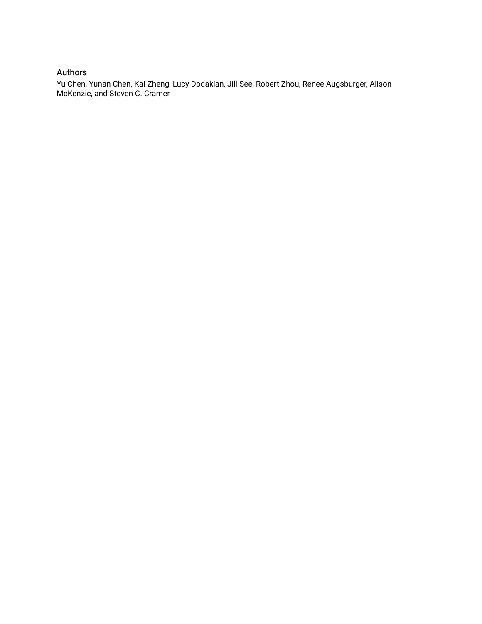### Authors

Yu Chen, Yunan Chen, Kai Zheng, Lucy Dodakian, Jill See, Robert Zhou, Renee Augsburger, Alison McKenzie, and Steven C. Cramer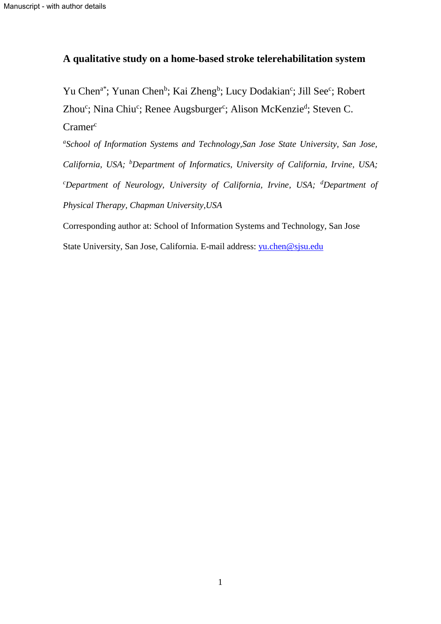## **A qualitative study on a home-based stroke telerehabilitation system**

Yu Chen<sup>a\*</sup>; Yunan Chen<sup>b</sup>; Kai Zheng<sup>b</sup>; Lucy Dodakian<sup>c</sup>; Jill See<sup>c</sup>; Robert Zhou<sup>c</sup>; Nina Chiu<sup>c</sup>; Renee Augsburger<sup>c</sup>; Alison McKenzie<sup>d</sup>; Steven C.  $Cramer^c$ 

*a School of Information Systems and Technology,San Jose State University, San Jose, California, USA; <sup>b</sup>Department of Informatics, University of California, Irvine, USA; <sup>c</sup>Department of Neurology, University of California, Irvine, USA; <sup>d</sup>Department of Physical Therapy, Chapman University,USA*

Corresponding author at: School of Information Systems and Technology, San Jose State University, San Jose, California. E-mail address: [yu.chen@sjsu.edu](mailto:yu.chen@sjsu.edu)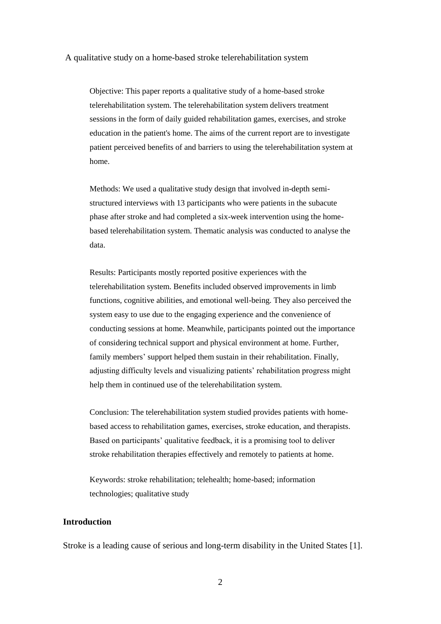#### A qualitative study on a home-based stroke telerehabilitation system

Objective: This paper reports a qualitative study of a home-based stroke telerehabilitation system. The telerehabilitation system delivers treatment sessions in the form of daily guided rehabilitation games, exercises, and stroke education in the patient's home. The aims of the current report are to investigate patient perceived benefits of and barriers to using the telerehabilitation system at home.

Methods: We used a qualitative study design that involved in-depth semistructured interviews with 13 participants who were patients in the subacute phase after stroke and had completed a six-week intervention using the homebased telerehabilitation system. Thematic analysis was conducted to analyse the data.

Results: Participants mostly reported positive experiences with the telerehabilitation system. Benefits included observed improvements in limb functions, cognitive abilities, and emotional well-being. They also perceived the system easy to use due to the engaging experience and the convenience of conducting sessions at home. Meanwhile, participants pointed out the importance of considering technical support and physical environment at home. Further, family members' support helped them sustain in their rehabilitation. Finally, adjusting difficulty levels and visualizing patients' rehabilitation progress might help them in continued use of the telerehabilitation system.

Conclusion: The telerehabilitation system studied provides patients with homebased access to rehabilitation games, exercises, stroke education, and therapists. Based on participants' qualitative feedback, it is a promising tool to deliver stroke rehabilitation therapies effectively and remotely to patients at home.

Keywords: stroke rehabilitation; telehealth; home-based; information technologies; qualitative study

#### **Introduction**

Stroke is a leading cause of serious and long-term disability in the United States [1].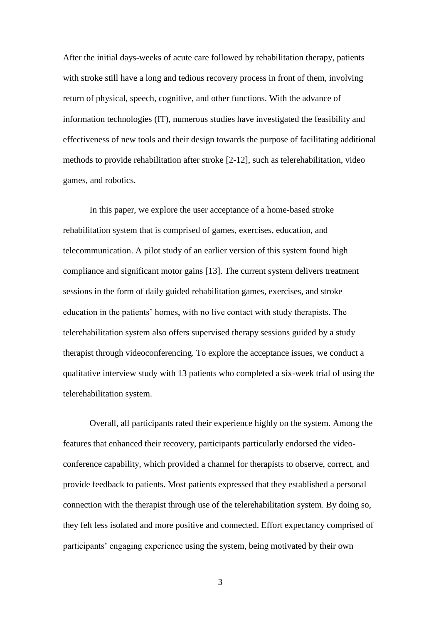After the initial days-weeks of acute care followed by rehabilitation therapy, patients with stroke still have a long and tedious recovery process in front of them, involving return of physical, speech, cognitive, and other functions. With the advance of information technologies (IT), numerous studies have investigated the feasibility and effectiveness of new tools and their design towards the purpose of facilitating additional methods to provide rehabilitation after stroke [2-12], such as telerehabilitation, video games, and robotics.

In this paper, we explore the user acceptance of a home-based stroke rehabilitation system that is comprised of games, exercises, education, and telecommunication. A pilot study of an earlier version of this system found high compliance and significant motor gains [13]. The current system delivers treatment sessions in the form of daily guided rehabilitation games, exercises, and stroke education in the patients' homes, with no live contact with study therapists. The telerehabilitation system also offers supervised therapy sessions guided by a study therapist through videoconferencing. To explore the acceptance issues, we conduct a qualitative interview study with 13 patients who completed a six-week trial of using the telerehabilitation system.

Overall, all participants rated their experience highly on the system. Among the features that enhanced their recovery, participants particularly endorsed the videoconference capability, which provided a channel for therapists to observe, correct, and provide feedback to patients. Most patients expressed that they established a personal connection with the therapist through use of the telerehabilitation system. By doing so, they felt less isolated and more positive and connected. Effort expectancy comprised of participants' engaging experience using the system, being motivated by their own

3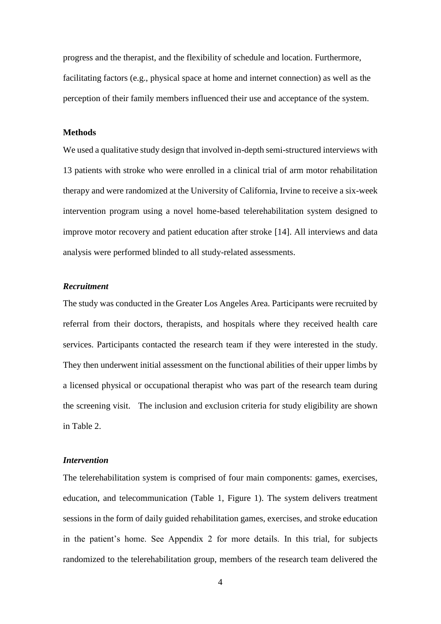progress and the therapist, and the flexibility of schedule and location. Furthermore, facilitating factors (e.g., physical space at home and internet connection) as well as the perception of their family members influenced their use and acceptance of the system.

#### **Methods**

We used a qualitative study design that involved in-depth semi-structured interviews with 13 patients with stroke who were enrolled in a clinical trial of arm motor rehabilitation therapy and were randomized at the University of California, Irvine to receive a six-week intervention program using a novel home-based telerehabilitation system designed to improve motor recovery and patient education after stroke [14]. All interviews and data analysis were performed blinded to all study-related assessments.

#### *Recruitment*

The study was conducted in the Greater Los Angeles Area. Participants were recruited by referral from their doctors, therapists, and hospitals where they received health care services. Participants contacted the research team if they were interested in the study. They then underwent initial assessment on the functional abilities of their upper limbs by a licensed physical or occupational therapist who was part of the research team during the screening visit. The inclusion and exclusion criteria for study eligibility are shown in Table 2.

#### *Intervention*

The telerehabilitation system is comprised of four main components: games, exercises, education, and telecommunication (Table 1, Figure 1). The system delivers treatment sessions in the form of daily guided rehabilitation games, exercises, and stroke education in the patient's home. See Appendix 2 for more details. In this trial, for subjects randomized to the telerehabilitation group, members of the research team delivered the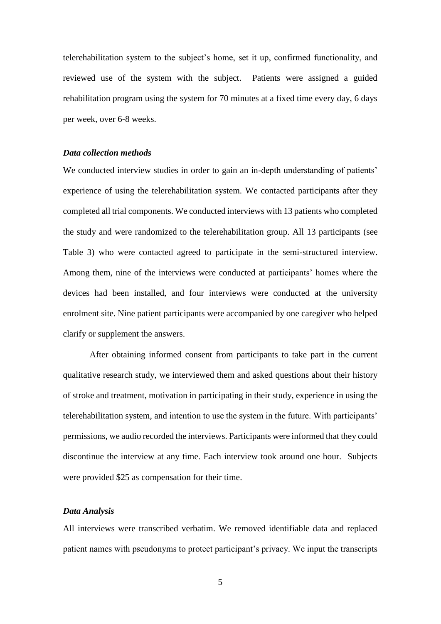telerehabilitation system to the subject's home, set it up, confirmed functionality, and reviewed use of the system with the subject. Patients were assigned a guided rehabilitation program using the system for 70 minutes at a fixed time every day, 6 days per week, over 6-8 weeks.

#### *Data collection methods*

We conducted interview studies in order to gain an in-depth understanding of patients' experience of using the telerehabilitation system. We contacted participants after they completed all trial components. We conducted interviews with 13 patients who completed the study and were randomized to the telerehabilitation group. All 13 participants (see Table 3) who were contacted agreed to participate in the semi-structured interview. Among them, nine of the interviews were conducted at participants' homes where the devices had been installed, and four interviews were conducted at the university enrolment site. Nine patient participants were accompanied by one caregiver who helped clarify or supplement the answers.

After obtaining informed consent from participants to take part in the current qualitative research study, we interviewed them and asked questions about their history of stroke and treatment, motivation in participating in their study, experience in using the telerehabilitation system, and intention to use the system in the future. With participants' permissions, we audio recorded the interviews. Participants were informed that they could discontinue the interview at any time. Each interview took around one hour. Subjects were provided \$25 as compensation for their time.

#### *Data Analysis*

All interviews were transcribed verbatim. We removed identifiable data and replaced patient names with pseudonyms to protect participant's privacy. We input the transcripts

5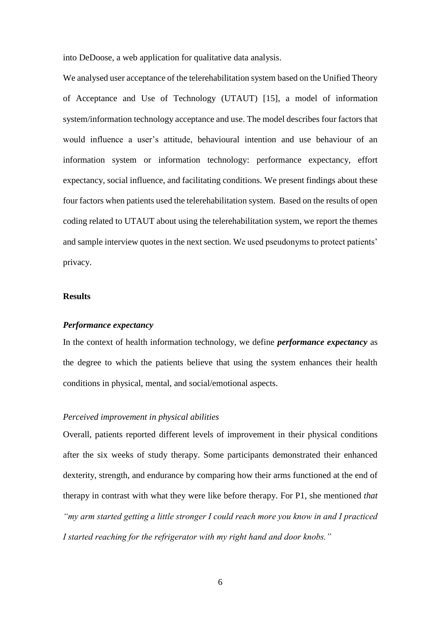into DeDoose, a web application for qualitative data analysis.

We analysed user acceptance of the telerehabilitation system based on the Unified Theory of Acceptance and Use of Technology (UTAUT) [15], a model of information system/information technology acceptance and use. The model describes four factors that would influence a user's attitude, behavioural intention and use behaviour of an information system or information technology: performance expectancy, effort expectancy, social influence, and facilitating conditions. We present findings about these four factors when patients used the telerehabilitation system. Based on the results of open coding related to UTAUT about using the telerehabilitation system, we report the themes and sample interview quotes in the next section. We used pseudonyms to protect patients' privacy.

#### **Results**

#### *Performance expectancy*

In the context of health information technology, we define *performance expectancy* as the degree to which the patients believe that using the system enhances their health conditions in physical, mental, and social/emotional aspects.

#### *Perceived improvement in physical abilities*

Overall, patients reported different levels of improvement in their physical conditions after the six weeks of study therapy. Some participants demonstrated their enhanced dexterity, strength, and endurance by comparing how their arms functioned at the end of therapy in contrast with what they were like before therapy. For P1, she mentioned *that "my arm started getting a little stronger I could reach more you know in and I practiced I started reaching for the refrigerator with my right hand and door knobs."*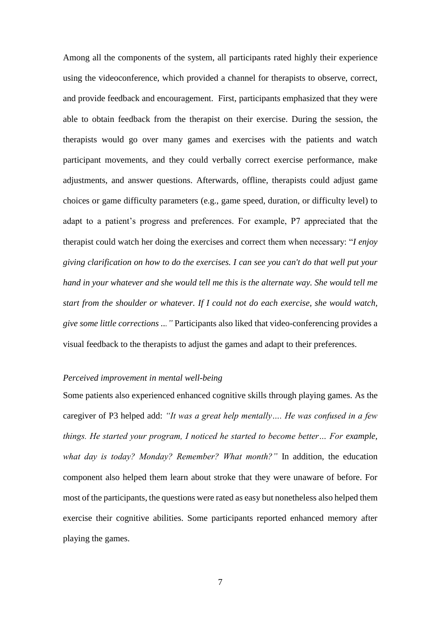Among all the components of the system, all participants rated highly their experience using the videoconference, which provided a channel for therapists to observe, correct, and provide feedback and encouragement. First, participants emphasized that they were able to obtain feedback from the therapist on their exercise. During the session, the therapists would go over many games and exercises with the patients and watch participant movements, and they could verbally correct exercise performance, make adjustments, and answer questions. Afterwards, offline, therapists could adjust game choices or game difficulty parameters (e.g., game speed, duration, or difficulty level) to adapt to a patient's progress and preferences. For example, P7 appreciated that the therapist could watch her doing the exercises and correct them when necessary: "*I enjoy giving clarification on how to do the exercises. I can see you can't do that well put your hand in your whatever and she would tell me this is the alternate way. She would tell me start from the shoulder or whatever. If I could not do each exercise, she would watch, give some little corrections ..."* Participants also liked that video-conferencing provides a visual feedback to the therapists to adjust the games and adapt to their preferences.

#### *Perceived improvement in mental well-being*

Some patients also experienced enhanced cognitive skills through playing games*.* As the caregiver of P3 helped add: *"It was a great help mentally…. He was confused in a few things. He started your program, I noticed he started to become better… For example, what day is today? Monday? Remember? What month?"* In addition, the education component also helped them learn about stroke that they were unaware of before. For most of the participants, the questions were rated as easy but nonetheless also helped them exercise their cognitive abilities. Some participants reported enhanced memory after playing the games.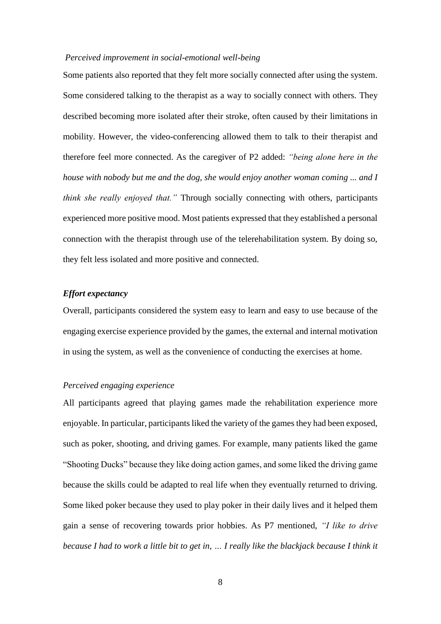#### *Perceived improvement in social-emotional well-being*

Some patients also reported that they felt more socially connected after using the system. Some considered talking to the therapist as a way to socially connect with others. They described becoming more isolated after their stroke, often caused by their limitations in mobility. However, the video-conferencing allowed them to talk to their therapist and therefore feel more connected. As the caregiver of P2 added: *"being alone here in the house with nobody but me and the dog, she would enjoy another woman coming ... and I think she really enjoyed that."* Through socially connecting with others, participants experienced more positive mood. Most patients expressed that they established a personal connection with the therapist through use of the telerehabilitation system. By doing so, they felt less isolated and more positive and connected.

#### *Effort expectancy*

Overall, participants considered the system easy to learn and easy to use because of the engaging exercise experience provided by the games, the external and internal motivation in using the system, as well as the convenience of conducting the exercises at home.

#### *Perceived engaging experience*

All participants agreed that playing games made the rehabilitation experience more enjoyable. In particular, participants liked the variety of the games they had been exposed, such as poker, shooting, and driving games. For example, many patients liked the game "Shooting Ducks" because they like doing action games, and some liked the driving game because the skills could be adapted to real life when they eventually returned to driving. Some liked poker because they used to play poker in their daily lives and it helped them gain a sense of recovering towards prior hobbies. As P7 mentioned, *"I like to drive because I had to work a little bit to get in, … I really like the blackjack because I think it*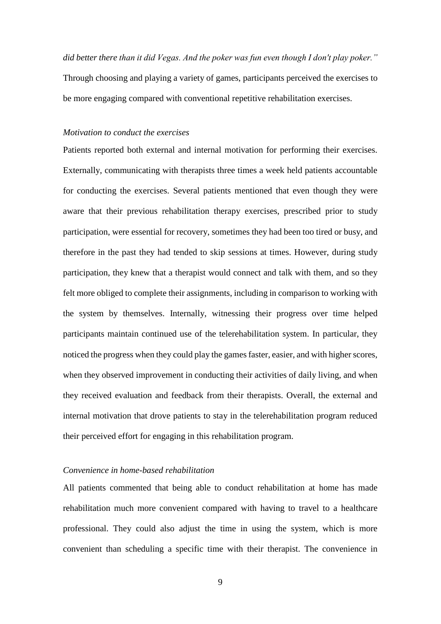*did better there than it did Vegas. And the poker was fun even though I don't play poker."* Through choosing and playing a variety of games, participants perceived the exercises to be more engaging compared with conventional repetitive rehabilitation exercises.

#### *Motivation to conduct the exercises*

Patients reported both external and internal motivation for performing their exercises. Externally, communicating with therapists three times a week held patients accountable for conducting the exercises. Several patients mentioned that even though they were aware that their previous rehabilitation therapy exercises, prescribed prior to study participation, were essential for recovery, sometimes they had been too tired or busy, and therefore in the past they had tended to skip sessions at times. However, during study participation, they knew that a therapist would connect and talk with them, and so they felt more obliged to complete their assignments, including in comparison to working with the system by themselves. Internally, witnessing their progress over time helped participants maintain continued use of the telerehabilitation system. In particular, they noticed the progress when they could play the games faster, easier, and with higher scores, when they observed improvement in conducting their activities of daily living, and when they received evaluation and feedback from their therapists. Overall, the external and internal motivation that drove patients to stay in the telerehabilitation program reduced their perceived effort for engaging in this rehabilitation program.

#### *Convenience in home-based rehabilitation*

All patients commented that being able to conduct rehabilitation at home has made rehabilitation much more convenient compared with having to travel to a healthcare professional. They could also adjust the time in using the system, which is more convenient than scheduling a specific time with their therapist. The convenience in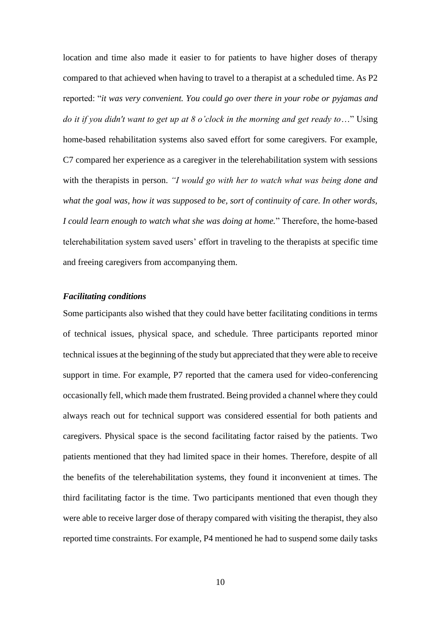location and time also made it easier to for patients to have higher doses of therapy compared to that achieved when having to travel to a therapist at a scheduled time. As P2 reported: "*it was very convenient. You could go over there in your robe or pyjamas and do it if you didn't want to get up at 8 o'clock in the morning and get ready to*…" Using home-based rehabilitation systems also saved effort for some caregivers. For example, C7 compared her experience as a caregiver in the telerehabilitation system with sessions with the therapists in person. *"I would go with her to watch what was being done and what the goal was, how it was supposed to be, sort of continuity of care. In other words, I could learn enough to watch what she was doing at home.*" Therefore, the home-based telerehabilitation system saved users' effort in traveling to the therapists at specific time and freeing caregivers from accompanying them.

#### *Facilitating conditions*

Some participants also wished that they could have better facilitating conditions in terms of technical issues, physical space, and schedule. Three participants reported minor technical issues at the beginning of the study but appreciated that they were able to receive support in time. For example, P7 reported that the camera used for video-conferencing occasionally fell, which made them frustrated. Being provided a channel where they could always reach out for technical support was considered essential for both patients and caregivers. Physical space is the second facilitating factor raised by the patients. Two patients mentioned that they had limited space in their homes. Therefore, despite of all the benefits of the telerehabilitation systems, they found it inconvenient at times. The third facilitating factor is the time. Two participants mentioned that even though they were able to receive larger dose of therapy compared with visiting the therapist, they also reported time constraints. For example, P4 mentioned he had to suspend some daily tasks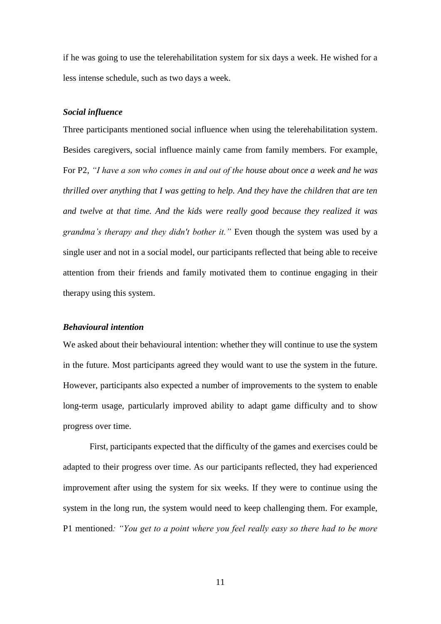if he was going to use the telerehabilitation system for six days a week. He wished for a less intense schedule, such as two days a week.

#### *Social influence*

Three participants mentioned social influence when using the telerehabilitation system. Besides caregivers, social influence mainly came from family members. For example, For P2, *"I have a son who comes in and out of the house about once a week and he was thrilled over anything that I was getting to help. And they have the children that are ten and twelve at that time. And the kids were really good because they realized it was grandma's therapy and they didn't bother it."* Even though the system was used by a single user and not in a social model, our participants reflected that being able to receive attention from their friends and family motivated them to continue engaging in their therapy using this system.

#### *Behavioural intention*

We asked about their behavioural intention: whether they will continue to use the system in the future. Most participants agreed they would want to use the system in the future. However, participants also expected a number of improvements to the system to enable long-term usage, particularly improved ability to adapt game difficulty and to show progress over time.

First, participants expected that the difficulty of the games and exercises could be adapted to their progress over time. As our participants reflected, they had experienced improvement after using the system for six weeks. If they were to continue using the system in the long run, the system would need to keep challenging them. For example, P1 mentioned*: "You get to a point where you feel really easy so there had to be more* 

11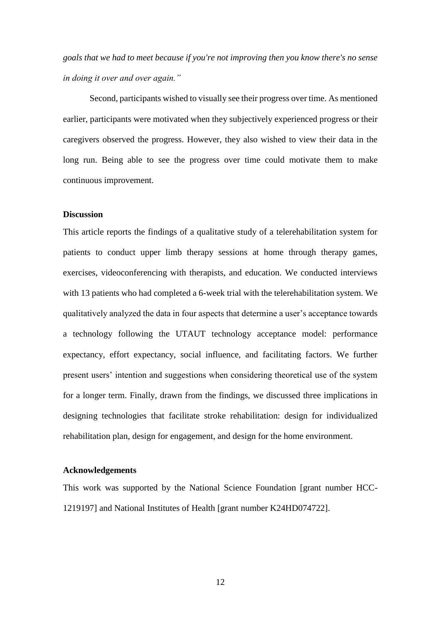*goals that we had to meet because if you're not improving then you know there's no sense in doing it over and over again."*

Second, participants wished to visually see their progress over time. As mentioned earlier, participants were motivated when they subjectively experienced progress or their caregivers observed the progress. However, they also wished to view their data in the long run. Being able to see the progress over time could motivate them to make continuous improvement.

#### **Discussion**

This article reports the findings of a qualitative study of a telerehabilitation system for patients to conduct upper limb therapy sessions at home through therapy games, exercises, videoconferencing with therapists, and education. We conducted interviews with 13 patients who had completed a 6-week trial with the telerehabilitation system. We qualitatively analyzed the data in four aspects that determine a user's acceptance towards a technology following the UTAUT technology acceptance model: performance expectancy, effort expectancy, social influence, and facilitating factors. We further present users' intention and suggestions when considering theoretical use of the system for a longer term. Finally, drawn from the findings, we discussed three implications in designing technologies that facilitate stroke rehabilitation: design for individualized rehabilitation plan, design for engagement, and design for the home environment.

#### **Acknowledgements**

This work was supported by the National Science Foundation [grant number HCC-1219197] and National Institutes of Health [grant number K24HD074722].

12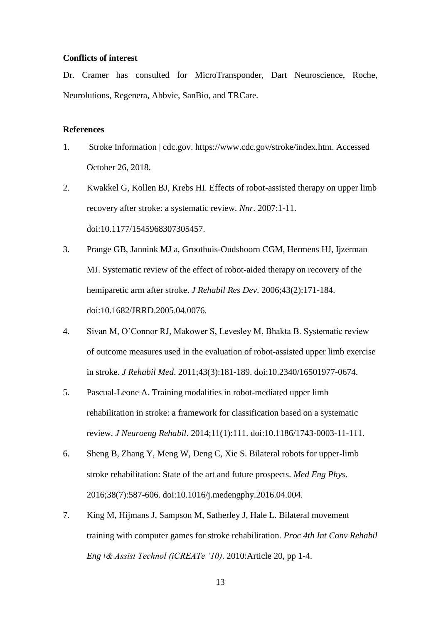#### **Conflicts of interest**

Dr. Cramer has consulted for MicroTransponder, Dart Neuroscience, Roche, Neurolutions, Regenera, Abbvie, SanBio, and TRCare.

#### **References**

- 1. Stroke Information | cdc.gov. https://www.cdc.gov/stroke/index.htm. Accessed October 26, 2018.
- 2. Kwakkel G, Kollen BJ, Krebs HI. Effects of robot-assisted therapy on upper limb recovery after stroke: a systematic review. *Nnr*. 2007:1-11. doi:10.1177/1545968307305457.
- 3. Prange GB, Jannink MJ a, Groothuis-Oudshoorn CGM, Hermens HJ, Ijzerman MJ. Systematic review of the effect of robot-aided therapy on recovery of the hemiparetic arm after stroke. *J Rehabil Res Dev*. 2006;43(2):171-184. doi:10.1682/JRRD.2005.04.0076.
- 4. Sivan M, O'Connor RJ, Makower S, Levesley M, Bhakta B. Systematic review of outcome measures used in the evaluation of robot-assisted upper limb exercise in stroke. *J Rehabil Med*. 2011;43(3):181-189. doi:10.2340/16501977-0674.
- 5. Pascual-Leone A. Training modalities in robot-mediated upper limb rehabilitation in stroke: a framework for classification based on a systematic review. *J Neuroeng Rehabil*. 2014;11(1):111. doi:10.1186/1743-0003-11-111.
- 6. Sheng B, Zhang Y, Meng W, Deng C, Xie S. Bilateral robots for upper-limb stroke rehabilitation: State of the art and future prospects. *Med Eng Phys*. 2016;38(7):587-606. doi:10.1016/j.medengphy.2016.04.004.
- 7. King M, Hijmans J, Sampson M, Satherley J, Hale L. Bilateral movement training with computer games for stroke rehabilitation. *Proc 4th Int Conv Rehabil Eng \& Assist Technol (iCREATe '10)*. 2010:Article 20, pp 1-4.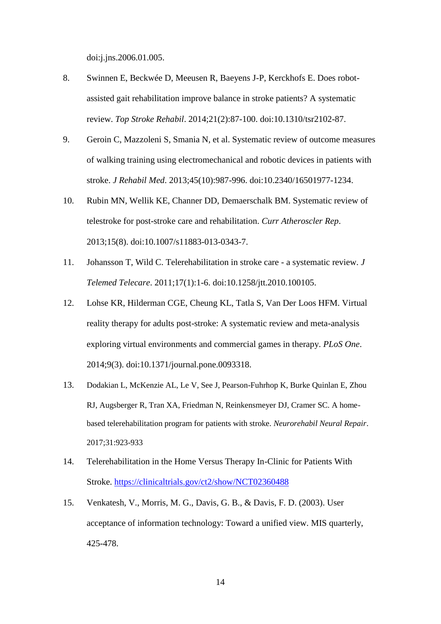doi:j.jns.2006.01.005.

- 8. Swinnen E, Beckwée D, Meeusen R, Baeyens J-P, Kerckhofs E. Does robotassisted gait rehabilitation improve balance in stroke patients? A systematic review. *Top Stroke Rehabil*. 2014;21(2):87-100. doi:10.1310/tsr2102-87.
- 9. Geroin C, Mazzoleni S, Smania N, et al. Systematic review of outcome measures of walking training using electromechanical and robotic devices in patients with stroke. *J Rehabil Med*. 2013;45(10):987-996. doi:10.2340/16501977-1234.
- 10. Rubin MN, Wellik KE, Channer DD, Demaerschalk BM. Systematic review of telestroke for post-stroke care and rehabilitation. *Curr Atheroscler Rep*. 2013;15(8). doi:10.1007/s11883-013-0343-7.
- 11. Johansson T, Wild C. Telerehabilitation in stroke care a systematic review. *J Telemed Telecare*. 2011;17(1):1-6. doi:10.1258/jtt.2010.100105.
- 12. Lohse KR, Hilderman CGE, Cheung KL, Tatla S, Van Der Loos HFM. Virtual reality therapy for adults post-stroke: A systematic review and meta-analysis exploring virtual environments and commercial games in therapy. *PLoS One*. 2014;9(3). doi:10.1371/journal.pone.0093318.
- 13. Dodakian L, McKenzie AL, Le V, See J, Pearson-Fuhrhop K, Burke Quinlan E, Zhou RJ, Augsberger R, Tran XA, Friedman N, Reinkensmeyer DJ, Cramer SC. A homebased telerehabilitation program for patients with stroke. *Neurorehabil Neural Repair*. 2017;31:923-933
- 14. Telerehabilitation in the Home Versus Therapy In-Clinic for Patients With Stroke.<https://clinicaltrials.gov/ct2/show/NCT02360488>
- 15. Venkatesh, V., Morris, M. G., Davis, G. B., & Davis, F. D. (2003). User acceptance of information technology: Toward a unified view. MIS quarterly, 425-478.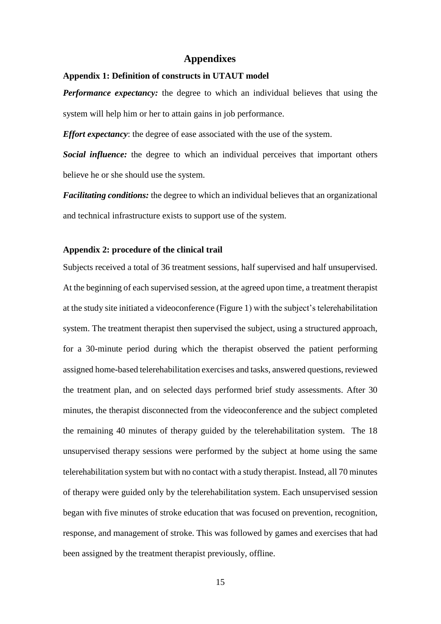#### **Appendixes**

#### **Appendix 1: Definition of constructs in UTAUT model**

*Performance expectancy:* the degree to which an individual believes that using the system will help him or her to attain gains in job performance.

*Effort expectancy*: the degree of ease associated with the use of the system.

*Social influence:* the degree to which an individual perceives that important others believe he or she should use the system.

*Facilitating conditions:* the degree to which an individual believes that an organizational and technical infrastructure exists to support use of the system.

#### **Appendix 2: procedure of the clinical trail**

Subjects received a total of 36 treatment sessions, half supervised and half unsupervised. At the beginning of each supervised session, at the agreed upon time, a treatment therapist at the study site initiated a videoconference (Figure 1) with the subject's telerehabilitation system. The treatment therapist then supervised the subject, using a structured approach, for a 30-minute period during which the therapist observed the patient performing assigned home-based telerehabilitation exercises and tasks, answered questions, reviewed the treatment plan, and on selected days performed brief study assessments. After 30 minutes, the therapist disconnected from the videoconference and the subject completed the remaining 40 minutes of therapy guided by the telerehabilitation system. The 18 unsupervised therapy sessions were performed by the subject at home using the same telerehabilitation system but with no contact with a study therapist. Instead, all 70 minutes of therapy were guided only by the telerehabilitation system. Each unsupervised session began with five minutes of stroke education that was focused on prevention, recognition, response, and management of stroke. This was followed by games and exercises that had been assigned by the treatment therapist previously, offline.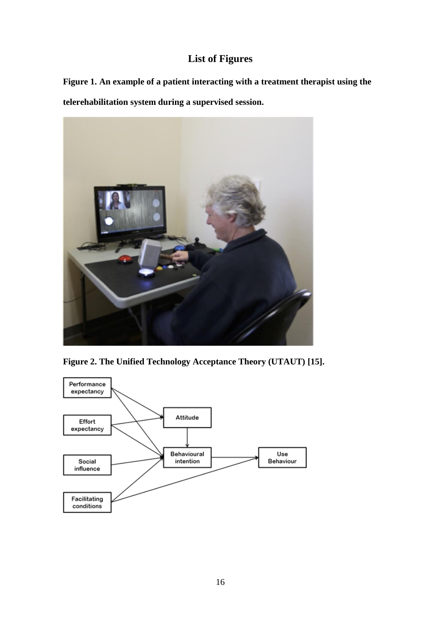## **List of Figures**

**Figure 1. An example of a patient interacting with a treatment therapist using the telerehabilitation system during a supervised session.**





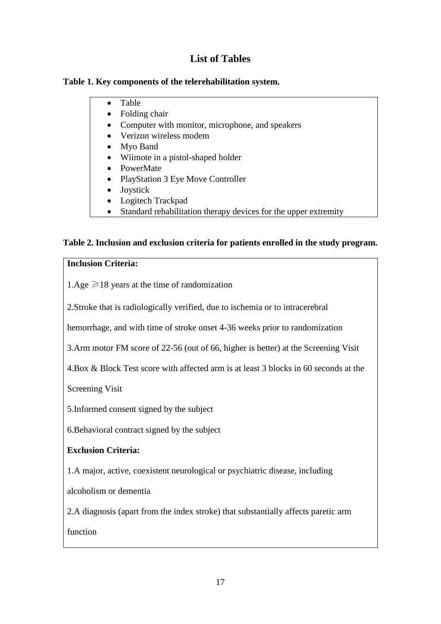## **List of Tables**

### **Table 1. Key components of the telerehabilitation system.**

- Table
- Folding chair
- Computer with monitor, microphone, and speakers
- Verizon wireless modem
- Myo Band
- Wiimote in a pistol-shaped holder
- PowerMate
- PlayStation 3 Eye Move Controller
- Joystick
- Logitech Trackpad
- Standard rehabilitation therapy devices for the upper extremity

## **Table 2. Inclusion and exclusion criteria for patients enrolled in the study program.**

### **Inclusion Criteria:**

1.Age  $\geq 18$  years at the time of randomization

2.Stroke that is radiologically verified, due to ischemia or to intracerebral

hemorrhage, and with time of stroke onset 4-36 weeks prior to randomization

3.Arm motor FM score of 22-56 (out of 66, higher is better) at the Screening Visit

4.Box & Block Test score with affected arm is at least 3 blocks in 60 seconds at the

Screening Visit

5.Informed consent signed by the subject

6.Behavioral contract signed by the subject

## **Exclusion Criteria:**

1.A major, active, coexistent neurological or psychiatric disease, including

alcoholism or dementia

2.A diagnosis (apart from the index stroke) that substantially affects paretic arm

function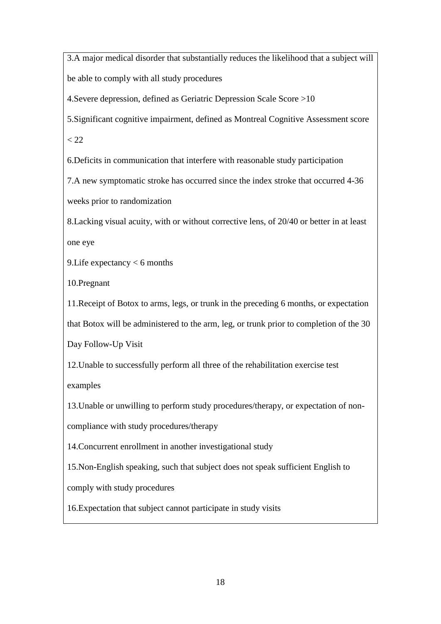3.A major medical disorder that substantially reduces the likelihood that a subject will be able to comply with all study procedures

4.Severe depression, defined as Geriatric Depression Scale Score >10

5.Significant cognitive impairment, defined as Montreal Cognitive Assessment score

 $< 22$ 

6.Deficits in communication that interfere with reasonable study participation

7.A new symptomatic stroke has occurred since the index stroke that occurred 4-36 weeks prior to randomization

8.Lacking visual acuity, with or without corrective lens, of 20/40 or better in at least one eye

9.Life expectancy < 6 months

10.Pregnant

11.Receipt of Botox to arms, legs, or trunk in the preceding 6 months, or expectation that Botox will be administered to the arm, leg, or trunk prior to completion of the 30

Day Follow-Up Visit

12.Unable to successfully perform all three of the rehabilitation exercise test examples

13.Unable or unwilling to perform study procedures/therapy, or expectation of non-

compliance with study procedures/therapy

14.Concurrent enrollment in another investigational study

15.Non-English speaking, such that subject does not speak sufficient English to

comply with study procedures

16.Expectation that subject cannot participate in study visits